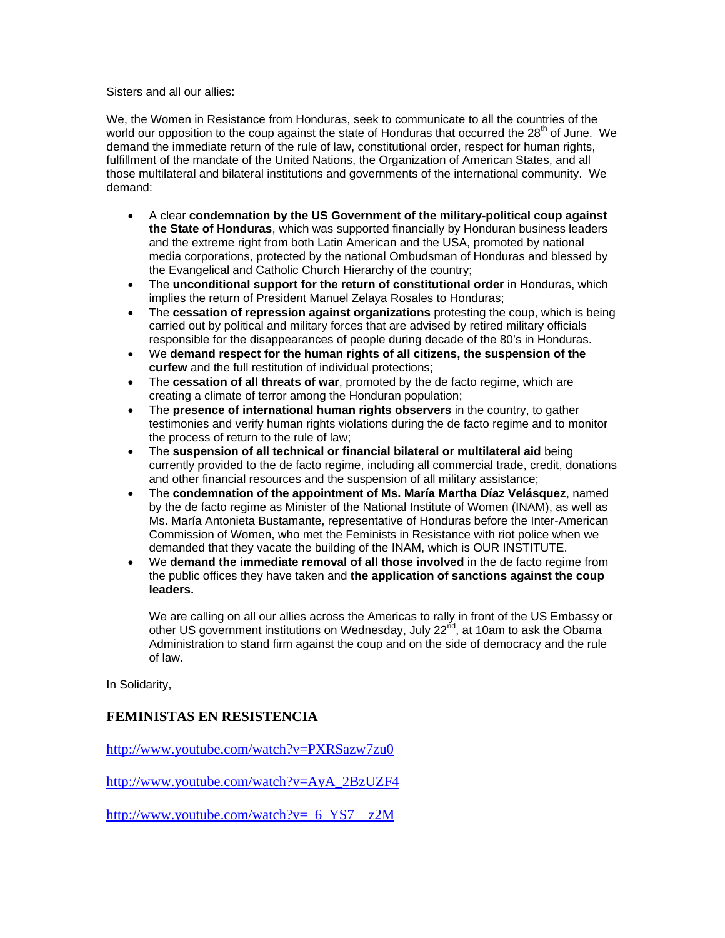## Sisters and all our allies:

We, the Women in Resistance from Honduras, seek to communicate to all the countries of the world our opposition to the coup against the state of Honduras that occurred the 28<sup>th</sup> of June. We demand the immediate return of the rule of law, constitutional order, respect for human rights, fulfillment of the mandate of the United Nations, the Organization of American States, and all those multilateral and bilateral institutions and governments of the international community. We demand:

- A clear **condemnation by the US Government of the military-political coup against the State of Honduras**, which was supported financially by Honduran business leaders and the extreme right from both Latin American and the USA, promoted by national media corporations, protected by the national Ombudsman of Honduras and blessed by the Evangelical and Catholic Church Hierarchy of the country;
- The **unconditional support for the return of constitutional order** in Honduras, which implies the return of President Manuel Zelaya Rosales to Honduras;
- The **cessation of repression against organizations** protesting the coup, which is being carried out by political and military forces that are advised by retired military officials responsible for the disappearances of people during decade of the 80's in Honduras.
- We **demand respect for the human rights of all citizens, the suspension of the curfew** and the full restitution of individual protections;
- The **cessation of all threats of war**, promoted by the de facto regime, which are creating a climate of terror among the Honduran population;
- The **presence of international human rights observers** in the country, to gather testimonies and verify human rights violations during the de facto regime and to monitor the process of return to the rule of law;
- The **suspension of all technical or financial bilateral or multilateral aid** being currently provided to the de facto regime, including all commercial trade, credit, donations and other financial resources and the suspension of all military assistance;
- The **condemnation of the appointment of Ms. María Martha Díaz Velásquez**, named by the de facto regime as Minister of the National Institute of Women (INAM), as well as Ms. María Antonieta Bustamante, representative of Honduras before the Inter-American Commission of Women, who met the Feminists in Resistance with riot police when we demanded that they vacate the building of the INAM, which is OUR INSTITUTE.
- We **demand the immediate removal of all those involved** in the de facto regime from the public offices they have taken and **the application of sanctions against the coup leaders.**

We are calling on all our allies across the Americas to rally in front of the US Embassy or other US government institutions on Wednesday, July 22<sup>nd</sup>, at 10am to ask the Obama Administration to stand firm against the coup and on the side of democracy and the rule of law.

In Solidarity,

## **FEMINISTAS EN RESISTENCIA**

http://www.youtube.com/watch?v=PXRSazw7zu0

http://www.youtube.com/watch?v=AyA\_2BzUZF4

http://www.youtube.com/watch?v=\_6\_YS7\_\_z2M